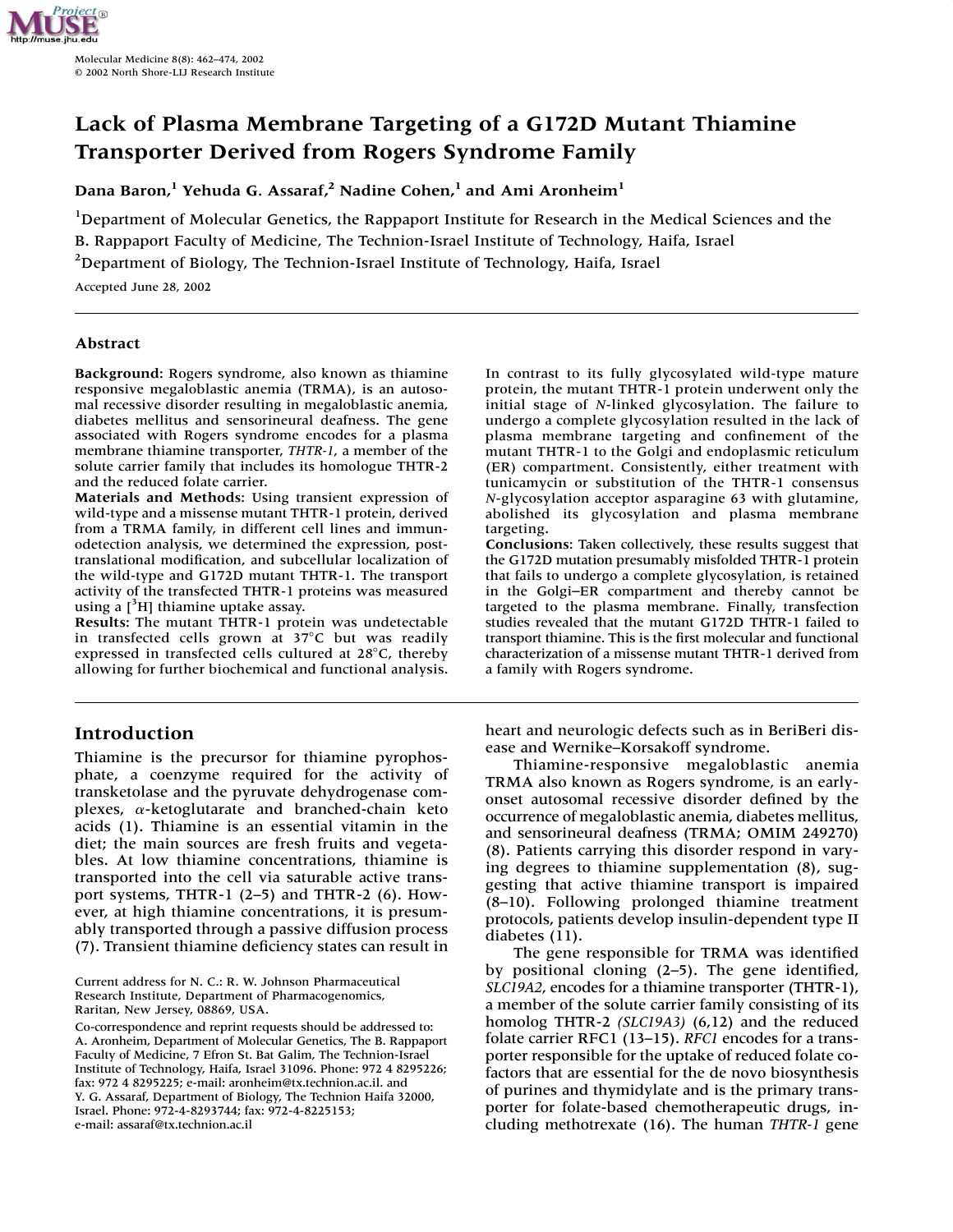

# **Lack of Plasma Membrane Targeting of a G172D Mutant Thiamine Transporter Derived from Rogers Syndrome Family**

**Dana Baron,1 Yehuda G. Assaraf,2 Nadine Cohen,1 and Ami Aronheim1**

<sup>1</sup>Department of Molecular Genetics, the Rappaport Institute for Research in the Medical Sciences and the B. Rappaport Faculty of Medicine, The Technion-Israel Institute of Technology, Haifa, Israel <sup>2</sup>Department of Biology, The Technion-Israel Institute of Technology, Haifa, Israel

Accepted June 28, 2002

## **Abstract**

**Background:** Rogers syndrome, also known as thiamine responsive megaloblastic anemia (TRMA), is an autosomal recessive disorder resulting in megaloblastic anemia, diabetes mellitus and sensorineural deafness. The gene associated with Rogers syndrome encodes for a plasma membrane thiamine transporter, *THTR-1*, a member of the solute carrier family that includes its homologue THTR-2 and the reduced folate carrier.

**Materials and Methods:** Using transient expression of wild-type and a missense mutant THTR-1 protein, derived from a TRMA family, in different cell lines and immunodetection analysis, we determined the expression, posttranslational modification, and subcellular localization of the wild-type and G172D mutant THTR-1. The transport activity of the transfected THTR-1 proteins was measured using a  $[3H]$  thiamine uptake assay.

**Results:** The mutant THTR-1 protein was undetectable in transfected cells grown at  $37^{\circ}$ C but was readily expressed in transfected cells cultured at  $28^{\circ}$ C, thereby allowing for further biochemical and functional analysis.

# **Introduction**

Thiamine is the precursor for thiamine pyrophosphate, a coenzyme required for the activity of transketolase and the pyruvate dehydrogenase complexes,  $\alpha$ -ketoglutarate and branched-chain keto acids (1). Thiamine is an essential vitamin in the diet; the main sources are fresh fruits and vegetables. At low thiamine concentrations, thiamine is transported into the cell via saturable active transport systems, THTR-1 (2–5) and THTR-2 (6). However, at high thiamine concentrations, it is presumably transported through a passive diffusion process (7). Transient thiamine deficiency states can result in

Current address for N. C.: R. W. Johnson Pharmaceutical Research Institute, Department of Pharmacogenomics, Raritan, New Jersey, 08869, USA.

Co-correspondence and reprint requests should be addressed to: A. Aronheim, Department of Molecular Genetics, The B. Rappaport Faculty of Medicine, 7 Efron St. Bat Galim, The Technion-Israel Institute of Technology, Haifa, Israel 31096. Phone: 972 4 8295226; fax: 972 4 8295225; e-mail: aronheim@tx.technion.ac.il. and Y. G. Assaraf, Department of Biology, The Technion Haifa 32000, Israel. Phone: 972-4-8293744; fax: 972-4-8225153; e-mail: assaraf@tx.technion.ac.il

In contrast to its fully glycosylated wild-type mature protein, the mutant THTR-1 protein underwent only the initial stage of *N*-linked glycosylation. The failure to undergo a complete glycosylation resulted in the lack of plasma membrane targeting and confinement of the mutant THTR-1 to the Golgi and endoplasmic reticulum (ER) compartment. Consistently, either treatment with tunicamycin or substitution of the THTR-1 consensus *N*-glycosylation acceptor asparagine 63 with glutamine, abolished its glycosylation and plasma membrane targeting.

**Conclusions:** Taken collectively, these results suggest that the G172D mutation presumably misfolded THTR-1 protein that fails to undergo a complete glycosylation, is retained in the Golgi–ER compartment and thereby cannot be targeted to the plasma membrane. Finally, transfection studies revealed that the mutant G172D THTR-1 failed to transport thiamine. This is the first molecular and functional characterization of a missense mutant THTR-1 derived from a family with Rogers syndrome.

heart and neurologic defects such as in BeriBeri disease and Wernike–Korsakoff syndrome.

Thiamine-responsive megaloblastic anemia TRMA also known as Rogers syndrome, is an earlyonset autosomal recessive disorder defined by the occurrence of megaloblastic anemia, diabetes mellitus, and sensorineural deafness (TRMA; OMIM 249270) (8). Patients carrying this disorder respond in varying degrees to thiamine supplementation (8), suggesting that active thiamine transport is impaired (8–10). Following prolonged thiamine treatment protocols, patients develop insulin-dependent type II diabetes (11).

The gene responsible for TRMA was identified by positional cloning (2–5). The gene identified, *SLC19A2*, encodes for a thiamine transporter (THTR-1), a member of the solute carrier family consisting of its homolog THTR-2 *(SLC19A3)* (6,12) and the reduced folate carrier RFC1 (13–15). *RFC1* encodes for a transporter responsible for the uptake of reduced folate cofactors that are essential for the de novo biosynthesis of purines and thymidylate and is the primary transporter for folate-based chemotherapeutic drugs, including methotrexate (16). The human *THTR-1* gene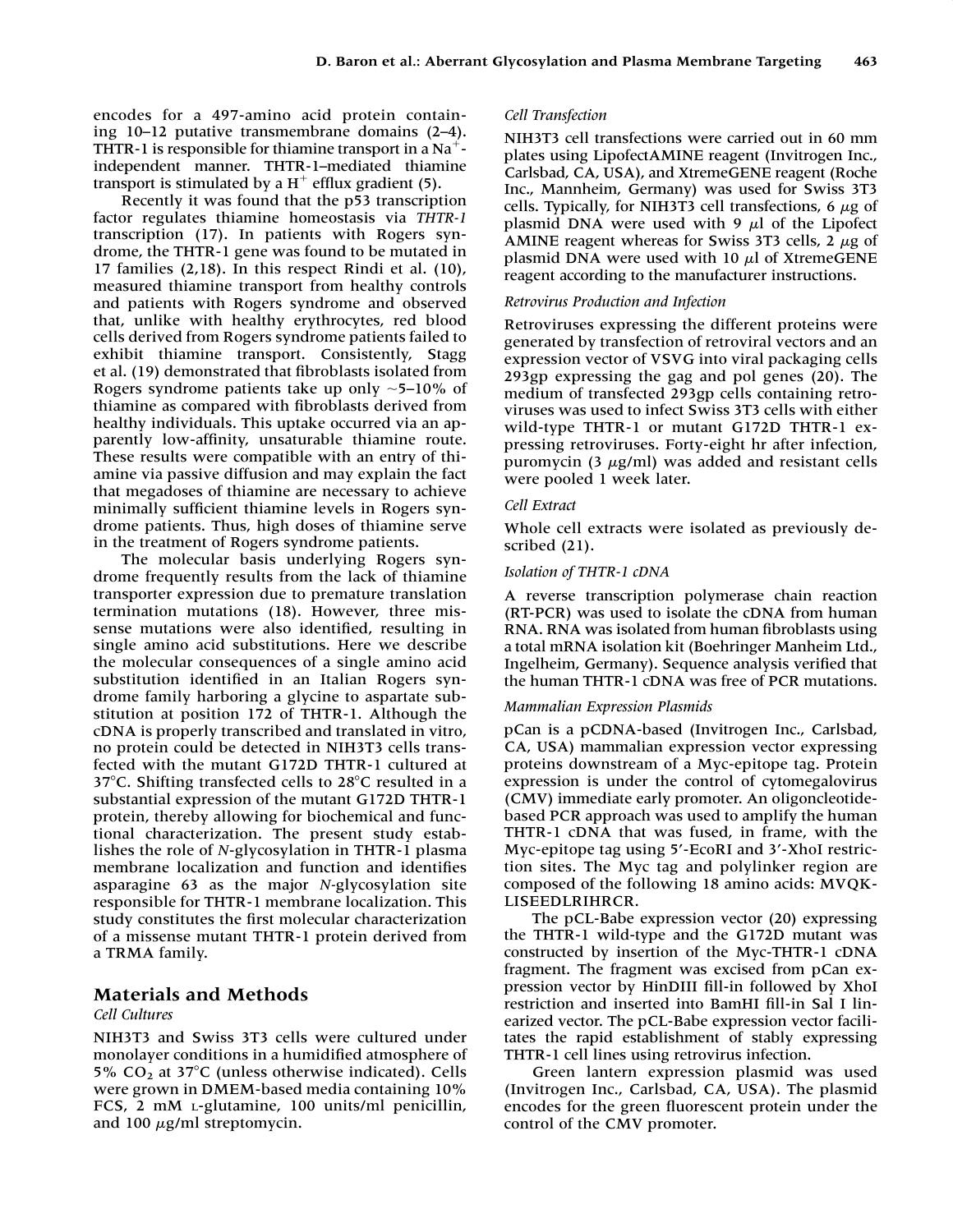encodes for a 497-amino acid protein containing 10–12 putative transmembrane domains (2–4). THTR-1 is responsible for thiamine transport in a Na<sup>+</sup>independent manner. THTR-1–mediated thiamine transport is stimulated by a  $H^+$  efflux gradient (5).

Recently it was found that the p53 transcription factor regulates thiamine homeostasis via *THTR-1* transcription (17). In patients with Rogers syndrome, the THTR-1 gene was found to be mutated in 17 families (2,18). In this respect Rindi et al. (10), measured thiamine transport from healthy controls and patients with Rogers syndrome and observed that, unlike with healthy erythrocytes, red blood cells derived from Rogers syndrome patients failed to exhibit thiamine transport. Consistently, Stagg et al. (19) demonstrated that fibroblasts isolated from Rogers syndrome patients take up only  $\sim$  5–10% of thiamine as compared with fibroblasts derived from healthy individuals. This uptake occurred via an apparently low-affinity, unsaturable thiamine route. These results were compatible with an entry of thiamine via passive diffusion and may explain the fact that megadoses of thiamine are necessary to achieve minimally sufficient thiamine levels in Rogers syndrome patients. Thus, high doses of thiamine serve in the treatment of Rogers syndrome patients.

The molecular basis underlying Rogers syndrome frequently results from the lack of thiamine transporter expression due to premature translation termination mutations (18). However, three missense mutations were also identified, resulting in single amino acid substitutions. Here we describe the molecular consequences of a single amino acid substitution identified in an Italian Rogers syndrome family harboring a glycine to aspartate substitution at position 172 of THTR-1. Although the cDNA is properly transcribed and translated in vitro, no protein could be detected in NIH3T3 cells transfected with the mutant G172D THTR-1 cultured at 37 $\degree$ C. Shifting transfected cells to 28 $\degree$ C resulted in a substantial expression of the mutant G172D THTR-1 protein, thereby allowing for biochemical and functional characterization. The present study establishes the role of *N*-glycosylation in THTR-1 plasma membrane localization and function and identifies asparagine 63 as the major *N-*glycosylation site responsible for THTR-1 membrane localization. This study constitutes the first molecular characterization of a missense mutant THTR-1 protein derived from a TRMA family.

# **Materials and Methods**

#### *Cell Cultures*

NIH3T3 and Swiss 3T3 cells were cultured under monolayer conditions in a humidified atmosphere of 5%  $CO<sub>2</sub>$  at 37°C (unless otherwise indicated). Cells were grown in DMEM-based media containing 10% FCS, 2 mM L-glutamine, 100 units/ml penicillin, and 100 µg/ml streptomycin.

#### *Cell Transfection*

NIH3T3 cell transfections were carried out in 60 mm plates using LipofectAMINE reagent (Invitrogen Inc., Carlsbad, CA, USA), and XtremeGENE reagent (Roche Inc., Mannheim, Germany) was used for Swiss 3T3 cells. Typically, for NIH3T3 cell transfections, 6  $\mu$ g of plasmid DNA were used with  $9 \mu l$  of the Lipofect AMINE reagent whereas for Swiss 3T3 cells,  $2 \mu g$  of plasmid DNA were used with 10  $\mu$ l of XtremeGENE reagent according to the manufacturer instructions.

## *Retrovirus Production and Infection*

Retroviruses expressing the different proteins were generated by transfection of retroviral vectors and an expression vector of VSVG into viral packaging cells 293gp expressing the gag and pol genes (20). The medium of transfected 293gp cells containing retroviruses was used to infect Swiss 3T3 cells with either wild-type THTR-1 or mutant G172D THTR-1 expressing retroviruses. Forty-eight hr after infection, puromycin (3  $\mu$ g/ml) was added and resistant cells were pooled 1 week later.

#### *Cell Extract*

Whole cell extracts were isolated as previously described (21).

#### *Isolation of THTR-1 cDNA*

A reverse transcription polymerase chain reaction (RT-PCR) was used to isolate the cDNA from human RNA. RNA was isolated from human fibroblasts using a total mRNA isolation kit (Boehringer Manheim Ltd., Ingelheim, Germany). Sequence analysis verified that the human THTR-1 cDNA was free of PCR mutations.

#### *Mammalian Expression Plasmids*

pCan is a pCDNA-based (Invitrogen Inc., Carlsbad, CA, USA) mammalian expression vector expressing proteins downstream of a Myc-epitope tag. Protein expression is under the control of cytomegalovirus (CMV) immediate early promoter. An oligoncleotidebased PCR approach was used to amplify the human THTR-1 cDNA that was fused, in frame, with the Myc-epitope tag using 5'-EcoRI and 3'-XhoI restriction sites. The Myc tag and polylinker region are composed of the following 18 amino acids: MVQK-LISEEDLRIHRCR.

The pCL-Babe expression vector (20) expressing the THTR-1 wild-type and the G172D mutant was constructed by insertion of the Myc-THTR-1 cDNA fragment. The fragment was excised from pCan expression vector by HinDIII fill-in followed by XhoI restriction and inserted into BamHI fill-in Sal I linearized vector. The pCL-Babe expression vector facilitates the rapid establishment of stably expressing THTR-1 cell lines using retrovirus infection.

Green lantern expression plasmid was used (Invitrogen Inc., Carlsbad, CA, USA). The plasmid encodes for the green fluorescent protein under the control of the CMV promoter.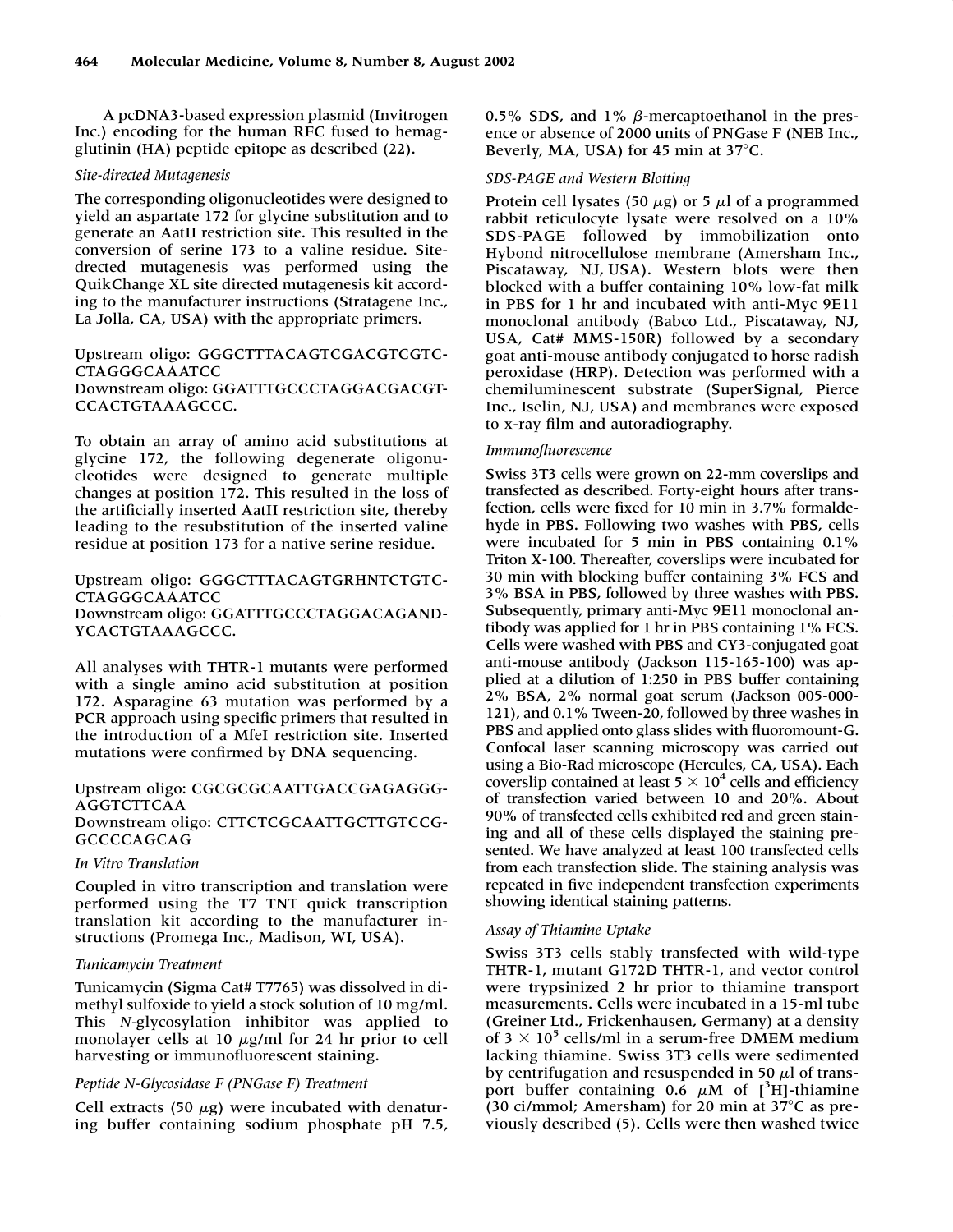A pcDNA3-based expression plasmid (Invitrogen Inc.) encoding for the human RFC fused to hemagglutinin (HA) peptide epitope as described (22).

## *Site-directed Mutagenesis*

The corresponding oligonucleotides were designed to yield an aspartate 172 for glycine substitution and to generate an AatII restriction site. This resulted in the conversion of serine 173 to a valine residue. Sitedrected mutagenesis was performed using the QuikChange XL site directed mutagenesis kit according to the manufacturer instructions (Stratagene Inc., La Jolla, CA, USA) with the appropriate primers.

## Upstream oligo: GGGCTTTACAGTCGACGTCGTC-CTAGGGCAAATCC Downstream oligo: GGATTTGCCCTAGGACGACGT-CCACTGTAAAGCCC.

To obtain an array of amino acid substitutions at glycine 172, the following degenerate oligonucleotides were designed to generate multiple changes at position 172. This resulted in the loss of the artificially inserted AatII restriction site, thereby leading to the resubstitution of the inserted valine residue at position 173 for a native serine residue.

## Upstream oligo: GGGCTTTACAGTGRHNTCTGTC-CTAGGGCAAATCC Downstream oligo: GGATTTGCCCTAGGACAGAND-YCACTGTAAAGCCC.

All analyses with THTR-1 mutants were performed with a single amino acid substitution at position 172. Asparagine 63 mutation was performed by a PCR approach using specific primers that resulted in the introduction of a MfeI restriction site. Inserted mutations were confirmed by DNA sequencing.

# Upstream oligo: CGCGCGCAATTGACCGAGAGGG-AGGTCTTCAA

Downstream oligo: CTTCTCGCAATTGCTTGTCCG-GCCCCAGCAG

# *In Vitro Translation*

Coupled in vitro transcription and translation were performed using the T7 TNT quick transcription translation kit according to the manufacturer instructions (Promega Inc., Madison, WI, USA).

# *Tunicamycin Treatment*

Tunicamycin (Sigma Cat# T7765) was dissolved in dimethyl sulfoxide to yield a stock solution of 10 mg/ml. This *N-*glycosylation inhibitor was applied to monolayer cells at 10  $\mu$ g/ml for 24 hr prior to cell harvesting or immunofluorescent staining.

# *Peptide N-Glycosidase F (PNGase F) Treatment*

Cell extracts (50  $\mu$ g) were incubated with denaturing buffer containing sodium phosphate pH 7.5, 0.5% SDS, and 1%  $\beta$ -mercaptoethanol in the presence or absence of 2000 units of PNGase F (NEB Inc., Beverly, MA, USA) for 45 min at  $37^{\circ}$ C.

## *SDS-PAGE and Western Blotting*

Protein cell lysates (50 μg) or 5 μl of a programmed rabbit reticulocyte lysate were resolved on a 10% SDS-PAGE followed by immobilization onto Hybond nitrocellulose membrane (Amersham Inc., Piscataway, NJ, USA). Western blots were then blocked with a buffer containing 10% low-fat milk in PBS for 1 hr and incubated with anti-Myc 9E11 monoclonal antibody (Babco Ltd., Piscataway, NJ, USA, Cat# MMS-150R) followed by a secondary goat anti-mouse antibody conjugated to horse radish peroxidase (HRP). Detection was performed with a chemiluminescent substrate (SuperSignal, Pierce Inc., Iselin, NJ, USA) and membranes were exposed to x-ray film and autoradiography.

## *Immunofluorescence*

Swiss 3T3 cells were grown on 22-mm coverslips and transfected as described. Forty-eight hours after transfection, cells were fixed for 10 min in 3.7% formaldehyde in PBS. Following two washes with PBS, cells were incubated for 5 min in PBS containing 0.1% Triton X-100. Thereafter, coverslips were incubated for 30 min with blocking buffer containing 3% FCS and 3% BSA in PBS, followed by three washes with PBS. Subsequently, primary anti-Myc 9E11 monoclonal antibody was applied for 1 hr in PBS containing 1% FCS. Cells were washed with PBS and CY3-conjugated goat anti-mouse antibody (Jackson 115-165-100) was applied at a dilution of 1:250 in PBS buffer containing 2% BSA, 2% normal goat serum (Jackson 005-000- 121), and 0.1% Tween-20, followed by three washes in PBS and applied onto glass slides with fluoromount-G. Confocal laser scanning microscopy was carried out using a Bio-Rad microscope (Hercules, CA, USA). Each coverslip contained at least  $5 \times 10^4$  cells and efficiency of transfection varied between 10 and 20%. About 90% of transfected cells exhibited red and green staining and all of these cells displayed the staining presented. We have analyzed at least 100 transfected cells from each transfection slide. The staining analysis was repeated in five independent transfection experiments showing identical staining patterns.

# *Assay of Thiamine Uptake*

Swiss 3T3 cells stably transfected with wild-type THTR-1, mutant G172D THTR-1, and vector control were trypsinized 2 hr prior to thiamine transport measurements. Cells were incubated in a 15-ml tube (Greiner Ltd., Frickenhausen, Germany) at a density of  $3 \times 10^5$  cells/ml in a serum-free DMEM medium lacking thiamine. Swiss 3T3 cells were sedimented by centrifugation and resuspended in 50  $\mu$ l of transport buffer containing  $0.\overline{6}$   $\mu$ M of  $[^{3}H]$ -thiamine (30 ci/mmol; Amersham) for 20 min at  $37^{\circ}$ C as previously described (5). Cells were then washed twice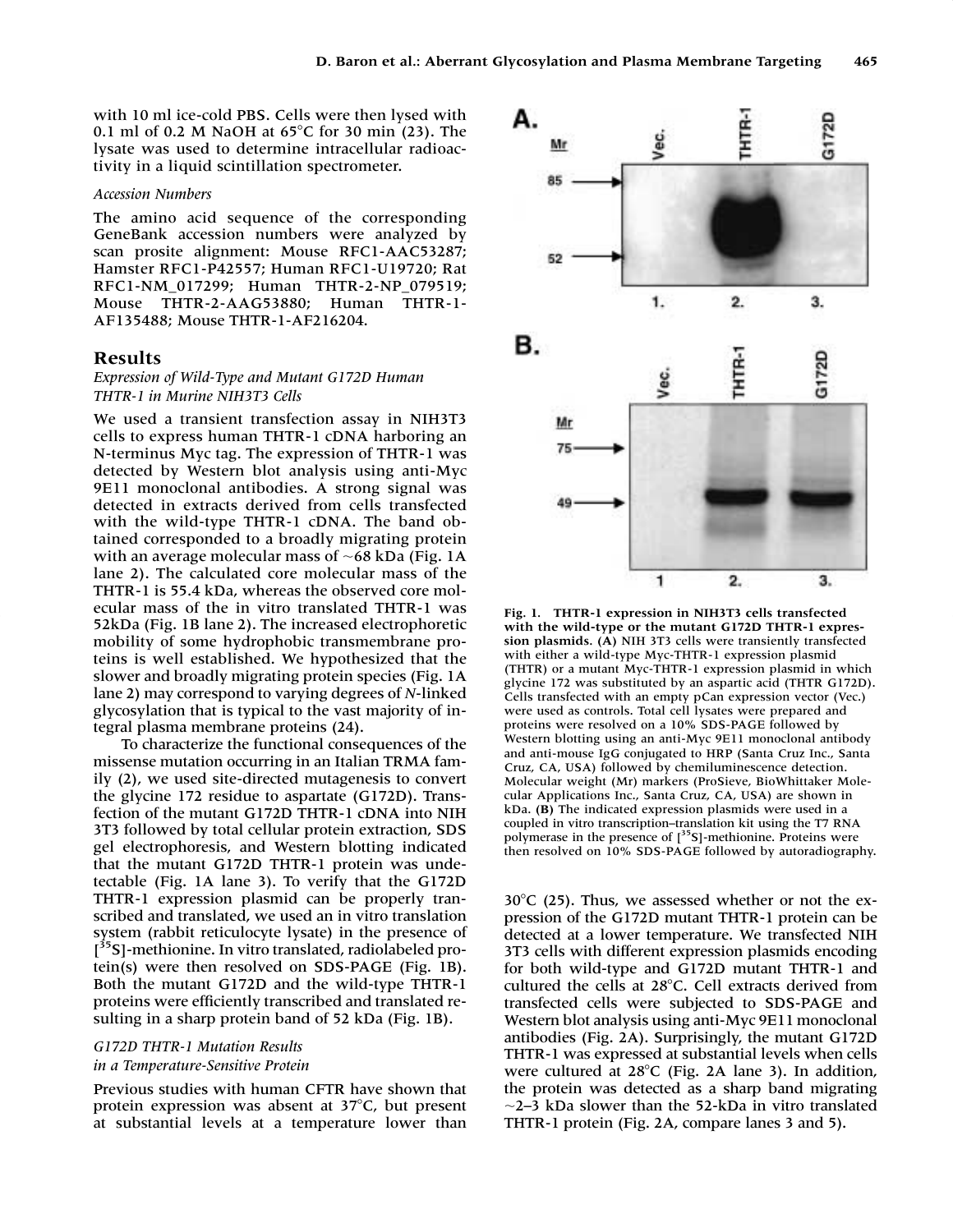with 10 ml ice-cold PBS. Cells were then lysed with 0.1 ml of 0.2 M NaOH at  $65^{\circ}$ C for 30 min (23). The lysate was used to determine intracellular radioactivity in a liquid scintillation spectrometer.

### *Accession Numbers*

The amino acid sequence of the corresponding GeneBank accession numbers were analyzed by scan prosite alignment: Mouse RFC1-AAC53287; Hamster RFC1-P42557; Human RFC1-U19720; Rat RFC1-NM\_017299; Human THTR-2-NP\_079519; Mouse THTR-2-AAG53880; Human THTR-1- AF135488; Mouse THTR-1-AF216204.

## **Results**

## *Expression of Wild-Type and Mutant G172D Human THTR-1 in Murine NIH3T3 Cells*

We used a transient transfection assay in NIH3T3 cells to express human THTR-1 cDNA harboring an N-terminus Myc tag. The expression of THTR-1 was detected by Western blot analysis using anti-Myc 9E11 monoclonal antibodies. A strong signal was detected in extracts derived from cells transfected with the wild-type THTR-1 cDNA. The band obtained corresponded to a broadly migrating protein with an average molecular mass of  $~68$  kDa (Fig. 1A) lane 2). The calculated core molecular mass of the THTR-1 is 55.4 kDa, whereas the observed core molecular mass of the in vitro translated THTR-1 was 52kDa (Fig. 1B lane 2). The increased electrophoretic mobility of some hydrophobic transmembrane proteins is well established. We hypothesized that the slower and broadly migrating protein species (Fig. 1A lane 2) may correspond to varying degrees of *N*-linked glycosylation that is typical to the vast majority of integral plasma membrane proteins (24).

To characterize the functional consequences of the missense mutation occurring in an Italian TRMA family (2), we used site-directed mutagenesis to convert the glycine 172 residue to aspartate (G172D). Transfection of the mutant G172D THTR-1 cDNA into NIH 3T3 followed by total cellular protein extraction, SDS gel electrophoresis, and Western blotting indicated that the mutant G172D THTR-1 protein was undetectable (Fig. 1A lane 3). To verify that the G172D THTR-1 expression plasmid can be properly transcribed and translated, we used an in vitro translation system (rabbit reticulocyte lysate) in the presence of [<sup>35</sup>S]-methionine. In vitro translated, radiolabeled protein(s) were then resolved on SDS-PAGE (Fig. 1B). Both the mutant G172D and the wild-type THTR-1 proteins were efficiently transcribed and translated resulting in a sharp protein band of 52 kDa (Fig. 1B).

### *G172D THTR-1 Mutation Results in a Temperature-Sensitive Protein*

Previous studies with human CFTR have shown that protein expression was absent at  $37^{\circ}$ C, but present at substantial levels at a temperature lower than



**Fig. 1. THTR-1 expression in NIH3T3 cells transfected with the wild-type or the mutant G172D THTR-1 expression plasmids. (A)** NIH 3T3 cells were transiently transfected with either a wild-type Myc-THTR-1 expression plasmid (THTR) or a mutant Myc-THTR-1 expression plasmid in which glycine 172 was substituted by an aspartic acid (THTR G172D). Cells transfected with an empty pCan expression vector (Vec.) were used as controls. Total cell lysates were prepared and proteins were resolved on a 10% SDS-PAGE followed by Western blotting using an anti-Myc 9E11 monoclonal antibody and anti-mouse IgG conjugated to HRP (Santa Cruz Inc., Santa Cruz, CA, USA) followed by chemiluminescence detection. Molecular weight (Mr) markers (ProSieve, BioWhittaker Molecular Applications Inc., Santa Cruz, CA, USA) are shown in kDa. **(B)** The indicated expression plasmids were used in a coupled in vitro transcription–translation kit using the T7 RNA polymerase in the presence of  $[^{35}S]$ -methionine. Proteins were then resolved on 10% SDS-PAGE followed by autoradiography.

 $30^{\circ}$ C (25). Thus, we assessed whether or not the expression of the G172D mutant THTR-1 protein can be detected at a lower temperature. We transfected NIH 3T3 cells with different expression plasmids encoding for both wild-type and G172D mutant THTR-1 and cultured the cells at 28°C. Cell extracts derived from transfected cells were subjected to SDS-PAGE and Western blot analysis using anti-Myc 9E11 monoclonal antibodies (Fig. 2A). Surprisingly, the mutant G172D THTR-1 was expressed at substantial levels when cells were cultured at  $28^{\circ}$ C (Fig. 2A lane 3). In addition, the protein was detected as a sharp band migrating  $\sim$ 2–3 kDa slower than the 52-kDa in vitro translated THTR-1 protein (Fig. 2A, compare lanes 3 and 5).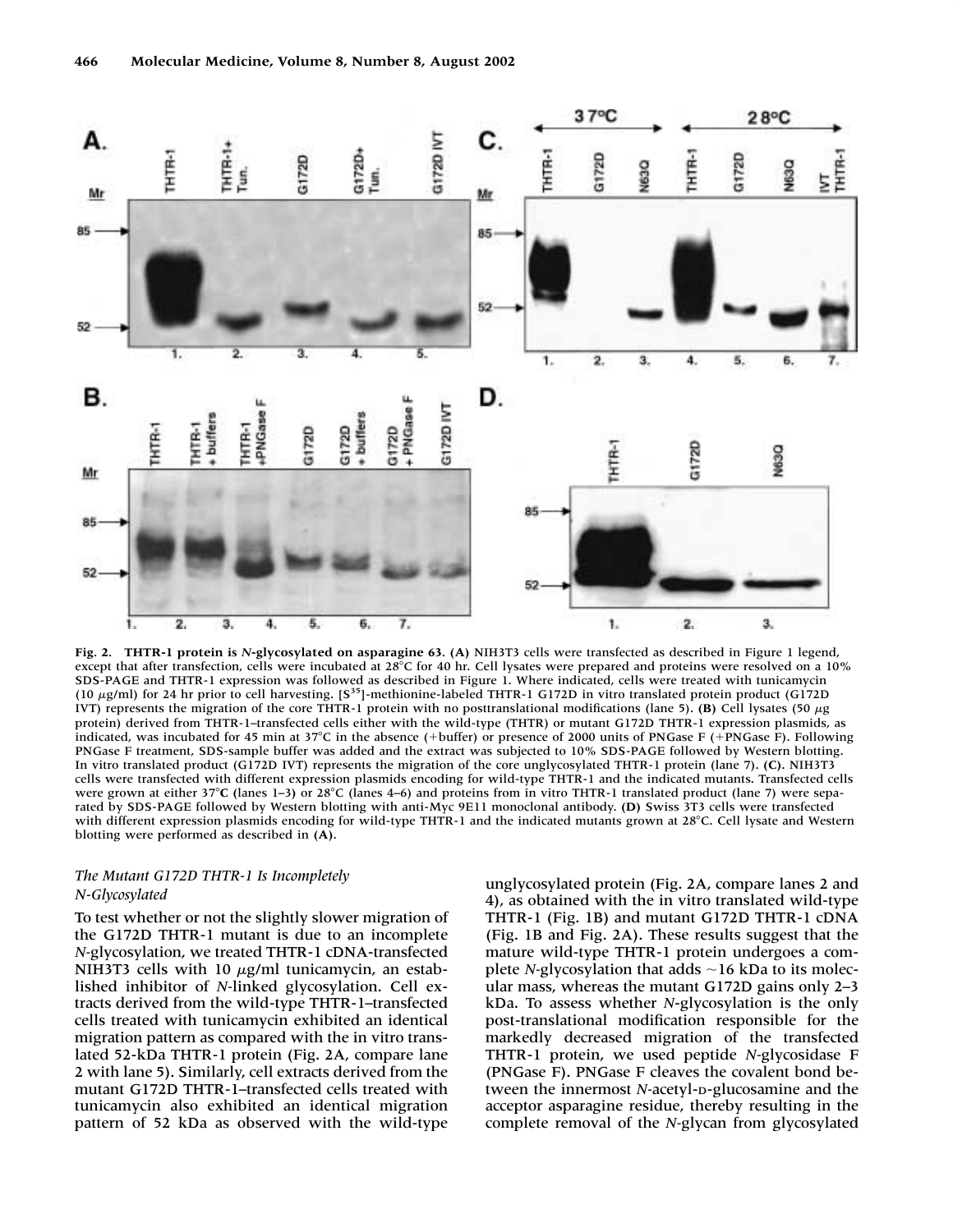

**Fig. 2. THTR-1 protein is** *N***-glycosylated on asparagine 63. (A)** NIH3T3 cells were transfected as described in Figure 1 legend, except that after transfection, cells were incubated at 28°C for 40 hr. Cell lysates were prepared and proteins were resolved on a 10% SDS-PAGE and THTR-1 expression was followed as described in Figure 1. Where indicated, cells were treated with tunicamycin (10 µg/ml) for 24 hr prior to cell harvesting. [S<sup>35</sup>]-methionine-labeled THTR-1 G172D in vitro translated protein product (G172D IVT) represents the migration of the core THTR-1 protein with no posttranslational modifications (lane 5). **(B)** Cell lysates (50  $\mu$ g protein) derived from THTR-1–transfected cells either with the wild-type (THTR) or mutant G172D THTR-1 expression plasmids, as indicated, was incubated for 45 min at 37°C in the absence (+buffer) or presence of 2000 units of PNGase F (+PNGase F). Following PNGase F treatment, SDS-sample buffer was added and the extract was subjected to 10% SDS-PAGE followed by Western blotting. In vitro translated product (G172D IVT) represents the migration of the core unglycosylated THTR-1 protein (lane 7). **(C).** NIH3T3 cells were transfected with different expression plasmids encoding for wild-type THTR-1 and the indicated mutants. Transfected cells were grown at either 37<sup>°</sup>C (lanes 1–3) or 28<sup>°</sup>C (lanes 4–6) and proteins from in vitro THTR-1 translated product (lane 7) were separated by SDS-PAGE followed by Western blotting with anti-Myc 9E11 monoclonal antibody. **(D)** Swiss 3T3 cells were transfected with different expression plasmids encoding for wild-type THTR-1 and the indicated mutants grown at 28°C. Cell lysate and Western blotting were performed as described in **(A)**.

## *The Mutant G172D THTR-1 Is Incompletely N-Glycosylated*

To test whether or not the slightly slower migration of the G172D THTR-1 mutant is due to an incomplete *N-*glycosylation, we treated THTR-1 cDNA-transfected NIH3T3 cells with 10  $\mu$ g/ml tunicamycin, an established inhibitor of *N-*linked glycosylation. Cell extracts derived from the wild-type THTR-1–transfected cells treated with tunicamycin exhibited an identical migration pattern as compared with the in vitro translated 52-kDa THTR-1 protein (Fig. 2A, compare lane 2 with lane 5). Similarly, cell extracts derived from the mutant G172D THTR-1–transfected cells treated with tunicamycin also exhibited an identical migration pattern of 52 kDa as observed with the wild-type

unglycosylated protein (Fig. 2A, compare lanes 2 and 4), as obtained with the in vitro translated wild-type THTR-1 (Fig. 1B) and mutant G172D THTR-1 cDNA (Fig. 1B and Fig. 2A). These results suggest that the mature wild-type THTR-1 protein undergoes a complete *N*-glycosylation that adds  $\sim$  16 kDa to its molecular mass, whereas the mutant G172D gains only 2–3 kDa. To assess whether *N*-glycosylation is the only post-translational modification responsible for the markedly decreased migration of the transfected THTR-1 protein, we used peptide *N-*glycosidase F (PNGase F). PNGase F cleaves the covalent bond between the innermost *N-*acetyl-D-glucosamine and the acceptor asparagine residue, thereby resulting in the complete removal of the *N-*glycan from glycosylated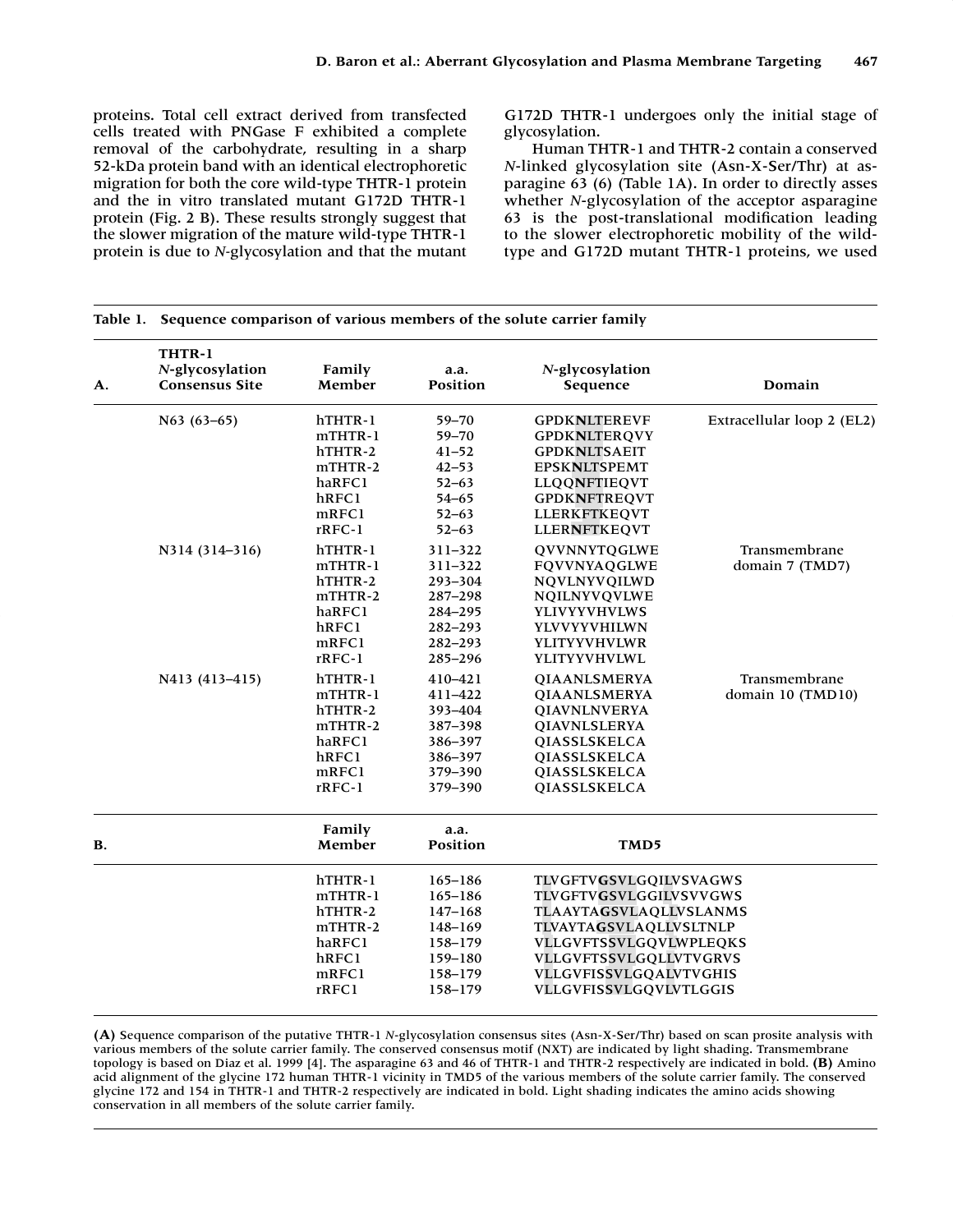proteins. Total cell extract derived from transfected cells treated with PNGase F exhibited a complete removal of the carbohydrate, resulting in a sharp 52-kDa protein band with an identical electrophoretic migration for both the core wild-type THTR-1 protein and the in vitro translated mutant G172D THTR-1 protein (Fig. 2 B). These results strongly suggest that the slower migration of the mature wild-type THTR-1 protein is due to *N-*glycosylation and that the mutant G172D THTR-1 undergoes only the initial stage of glycosylation.

Human THTR-1 and THTR-2 contain a conserved *N*-linked glycosylation site (Asn-X-Ser/Thr) at asparagine 63 (6) (Table 1A). In order to directly asses whether *N*-glycosylation of the acceptor asparagine 63 is the post-translational modification leading to the slower electrophoretic mobility of the wildtype and G172D mutant THTR-1 proteins, we used

| А.        | Table 1. Sequence comparison of various members of the solute carrier family |                  |                         |                             |                            |
|-----------|------------------------------------------------------------------------------|------------------|-------------------------|-----------------------------|----------------------------|
|           | THTR-1<br>N-glycosylation<br><b>Consensus Site</b>                           | Family<br>Member | a.a.<br><b>Position</b> | N-glycosylation<br>Sequence | Domain                     |
|           | $N63(63-65)$                                                                 | hTHTR-1          | 59-70                   | <b>GPDKNLTEREVF</b>         | Extracellular loop 2 (EL2) |
|           |                                                                              | mTHTR-1          | $59 - 70$               | <b>GPDKNLTERQVY</b>         |                            |
|           |                                                                              | hTHTR-2          | $41 - 52$               | <b>GPDKNLTSAEIT</b>         |                            |
|           |                                                                              | mTHTR-2          | $42 - 53$               | <b>EPSKNLTSPEMT</b>         |                            |
|           |                                                                              | haRFC1           | $52 - 63$               | LLQQNFTIEQVT                |                            |
|           |                                                                              | hRFC1            | $54 - 65$               | <b>GPDKNFTREQVT</b>         |                            |
|           |                                                                              | mRFC1            | $52 - 63$               | LLERKFTKEQVT                |                            |
|           |                                                                              | $rRFC-1$         | $52 - 63$               | <b>LLERNFTKEQVT</b>         |                            |
|           | N314 (314-316)                                                               | hTHTR-1          | $311 - 322$             | QVVNNYTQGLWE                | Transmembrane              |
|           |                                                                              | mTHTR-1          | 311-322                 | <b>FQVVNYAQGLWE</b>         | domain 7 (TMD7)            |
|           |                                                                              | hTHTR-2          | 293-304                 | NQVLNYVQILWD                |                            |
|           |                                                                              | mTHTR-2          | 287-298                 | NQILNYVQVLWE                |                            |
|           |                                                                              | haRFC1           | 284-295                 | <b>YLIVYYVHVLWS</b>         |                            |
|           |                                                                              | hRFC1            | $282 - 293$             | YLVVYYVHILWN                |                            |
|           |                                                                              | $m$ RFC1         | $282 - 293$             | YLITYYVHVLWR                |                            |
|           |                                                                              | $rRFC-1$         | 285-296                 | YLITYYVHVLWL                |                            |
|           | N413 (413-415)                                                               | hTHTR-1          | 410-421                 | <b>QIAANLSMERYA</b>         | Transmembrane              |
|           |                                                                              | mTHTR-1          | 411-422                 | <b>QIAANLSMERYA</b>         | domain 10 (TMD10)          |
|           |                                                                              | hTHTR-2          | 393-404                 | <b>QIAVNLNVERYA</b>         |                            |
|           |                                                                              | mTHTR-2          | 387-398                 | <b>QIAVNLSLERYA</b>         |                            |
|           |                                                                              | haRFC1           | 386-397                 | QIASSLSKELCA                |                            |
|           |                                                                              | hRFC1            | 386-397                 | QIASSLSKELCA                |                            |
|           |                                                                              | mRFC1            | 379-390                 | <b>OIASSLSKELCA</b>         |                            |
|           |                                                                              | $rRFC-1$         | 379-390                 | QIASSLSKELCA                |                            |
|           |                                                                              | Family           | a.a.                    |                             |                            |
| <b>B.</b> |                                                                              | Member           | <b>Position</b>         | TMD5                        |                            |
|           |                                                                              | hTHTR-1          | $165 - 186$             | TLVGFTVGSVLGQILVSVAGWS      |                            |
|           |                                                                              | mTHTR-1          | $165 - 186$             | TLVGFTVGSVLGGILVSVVGWS      |                            |
|           |                                                                              | hTHTR-2          | $147 - 168$             | TLAAYTAGSVLAQLLVSLANMS      |                            |
|           |                                                                              | mTHTR-2          | 148-169                 | TLVAYTAGSVLAQLLVSLTNLP      |                            |
|           |                                                                              | haRFC1           | 158-179                 | VLLGVFTSSVLGQVLWPLEQKS      |                            |
|           |                                                                              | hRFC1            | 159-180                 | VLLGVFTSSVLGQLLVTVGRVS      |                            |
|           |                                                                              | mRFC1            | 158-179                 | VLLGVFISSVLGQALVTVGHIS      |                            |
|           |                                                                              | rRFC1            | 158-179                 | VLLGVFISSVLGQVLVTLGGIS      |                            |
|           |                                                                              |                  |                         |                             |                            |

**(A)** Sequence comparison of the putative THTR-1 *N*-glycosylation consensus sites (Asn-X-Ser/Thr) based on scan prosite analysis with various members of the solute carrier family. The conserved consensus motif (NXT) are indicated by light shading. Transmembrane topology is based on Diaz et al. 1999 [4]. The asparagine 63 and 46 of THTR-1 and THTR-2 respectively are indicated in bold. **(B)** Amino acid alignment of the glycine 172 human THTR-1 vicinity in TMD5 of the various members of the solute carrier family. The conserved glycine 172 and 154 in THTR-1 and THTR-2 respectively are indicated in bold. Light shading indicates the amino acids showing conservation in all members of the solute carrier family.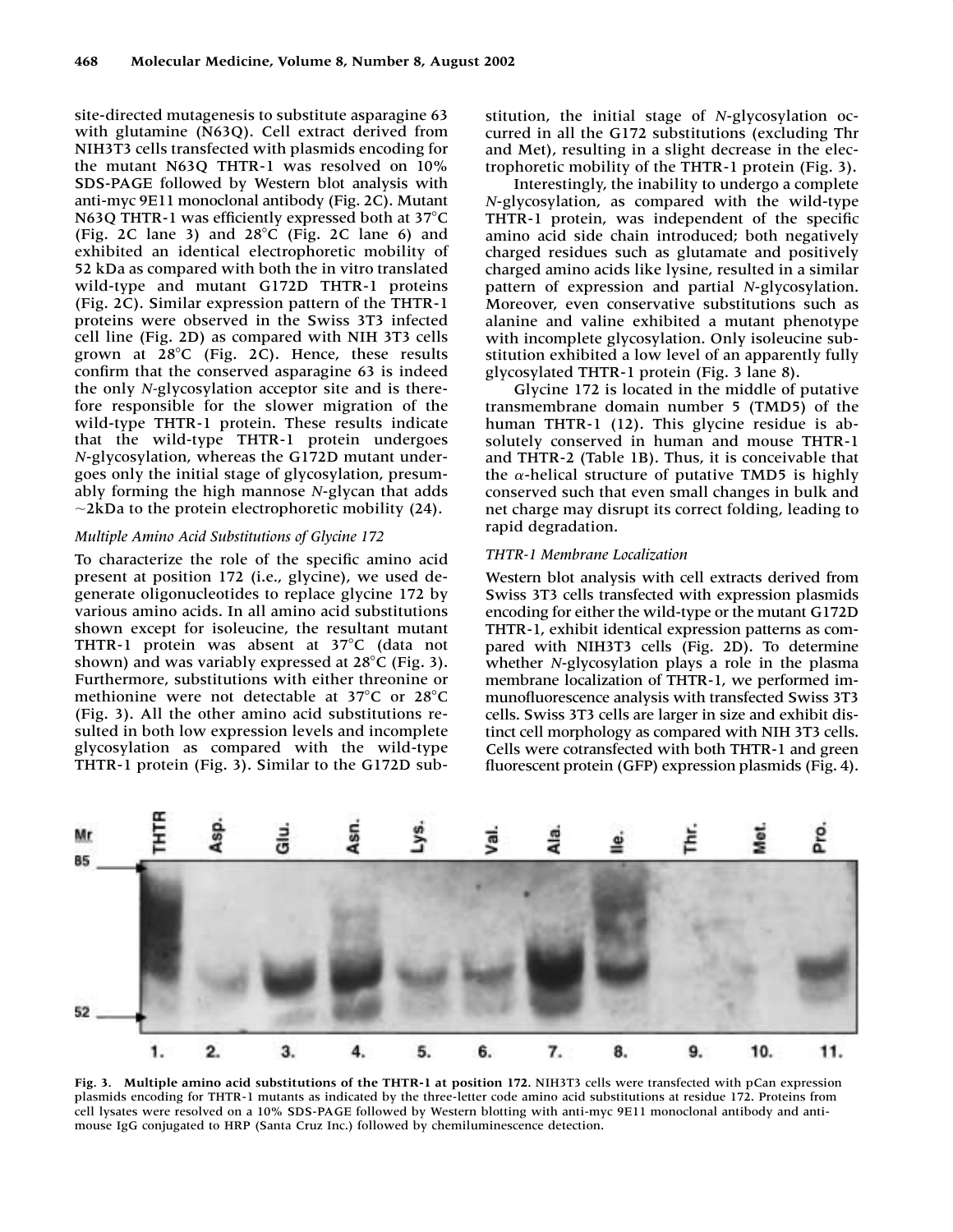site-directed mutagenesis to substitute asparagine 63 with glutamine (N63Q). Cell extract derived from NIH3T3 cells transfected with plasmids encoding for the mutant N63Q THTR-1 was resolved on 10% SDS-PAGE followed by Western blot analysis with anti-myc 9E11 monoclonal antibody (Fig. 2C). Mutant N63O THTR-1 was efficiently expressed both at  $37^{\circ}$ C (Fig. 2C lane 3) and  $28^{\circ}$ C (Fig. 2C lane 6) and exhibited an identical electrophoretic mobility of 52 kDa as compared with both the in vitro translated wild-type and mutant G172D THTR-1 proteins (Fig. 2C). Similar expression pattern of the THTR-1 proteins were observed in the Swiss 3T3 infected cell line (Fig. 2D) as compared with NIH 3T3 cells grown at  $28^{\circ}$ C (Fig. 2C). Hence, these results confirm that the conserved asparagine 63 is indeed the only *N-*glycosylation acceptor site and is therefore responsible for the slower migration of the wild-type THTR-1 protein. These results indicate that the wild-type THTR-1 protein undergoes *N*-glycosylation, whereas the G172D mutant undergoes only the initial stage of glycosylation, presumably forming the high mannose *N*-glycan that adds  $\sim$ 2kDa to the protein electrophoretic mobility (24).

## *Multiple Amino Acid Substitutions of Glycine 172*

To characterize the role of the specific amino acid present at position 172 (i.e., glycine), we used degenerate oligonucleotides to replace glycine 172 by various amino acids. In all amino acid substitutions shown except for isoleucine, the resultant mutant THTR-1 protein was absent at 37°C (data not shown) and was variably expressed at  $28^{\circ}$ C (Fig. 3). Furthermore, substitutions with either threonine or methionine were not detectable at  $37^{\circ}$ C or  $28^{\circ}$ C (Fig. 3). All the other amino acid substitutions resulted in both low expression levels and incomplete glycosylation as compared with the wild-type THTR-1 protein (Fig. 3). Similar to the G172D sub-

stitution, the initial stage of *N*-glycosylation occurred in all the G172 substitutions (excluding Thr and Met), resulting in a slight decrease in the electrophoretic mobility of the THTR-1 protein (Fig. 3).

Interestingly, the inability to undergo a complete *N*-glycosylation, as compared with the wild-type THTR-1 protein, was independent of the specific amino acid side chain introduced; both negatively charged residues such as glutamate and positively charged amino acids like lysine, resulted in a similar pattern of expression and partial *N*-glycosylation. Moreover, even conservative substitutions such as alanine and valine exhibited a mutant phenotype with incomplete glycosylation. Only isoleucine substitution exhibited a low level of an apparently fully glycosylated THTR-1 protein (Fig. 3 lane 8).

Glycine 172 is located in the middle of putative transmembrane domain number 5 (TMD5) of the human THTR-1 (12). This glycine residue is absolutely conserved in human and mouse THTR-1 and THTR-2 (Table 1B). Thus, it is conceivable that the  $\alpha$ -helical structure of putative TMD5 is highly conserved such that even small changes in bulk and net charge may disrupt its correct folding, leading to rapid degradation.

#### *THTR-1 Membrane Localization*

Western blot analysis with cell extracts derived from Swiss 3T3 cells transfected with expression plasmids encoding for either the wild-type or the mutant G172D THTR-1, exhibit identical expression patterns as compared with NIH3T3 cells (Fig. 2D). To determine whether *N*-glycosylation plays a role in the plasma membrane localization of THTR-1, we performed immunofluorescence analysis with transfected Swiss 3T3 cells. Swiss 3T3 cells are larger in size and exhibit distinct cell morphology as compared with NIH 3T3 cells. Cells were cotransfected with both THTR-1 and green fluorescent protein (GFP) expression plasmids (Fig. 4).



Fig. 3. Multiple amino acid substitutions of the THTR-1 at position 172. NIH3T3 cells were transfected with pCan expression plasmids encoding for THTR-1 mutants as indicated by the three-letter code amino acid substitutions at residue 172. Proteins from cell lysates were resolved on a 10% SDS-PAGE followed by Western blotting with anti-myc 9E11 monoclonal antibody and antimouse IgG conjugated to HRP (Santa Cruz Inc.) followed by chemiluminescence detection.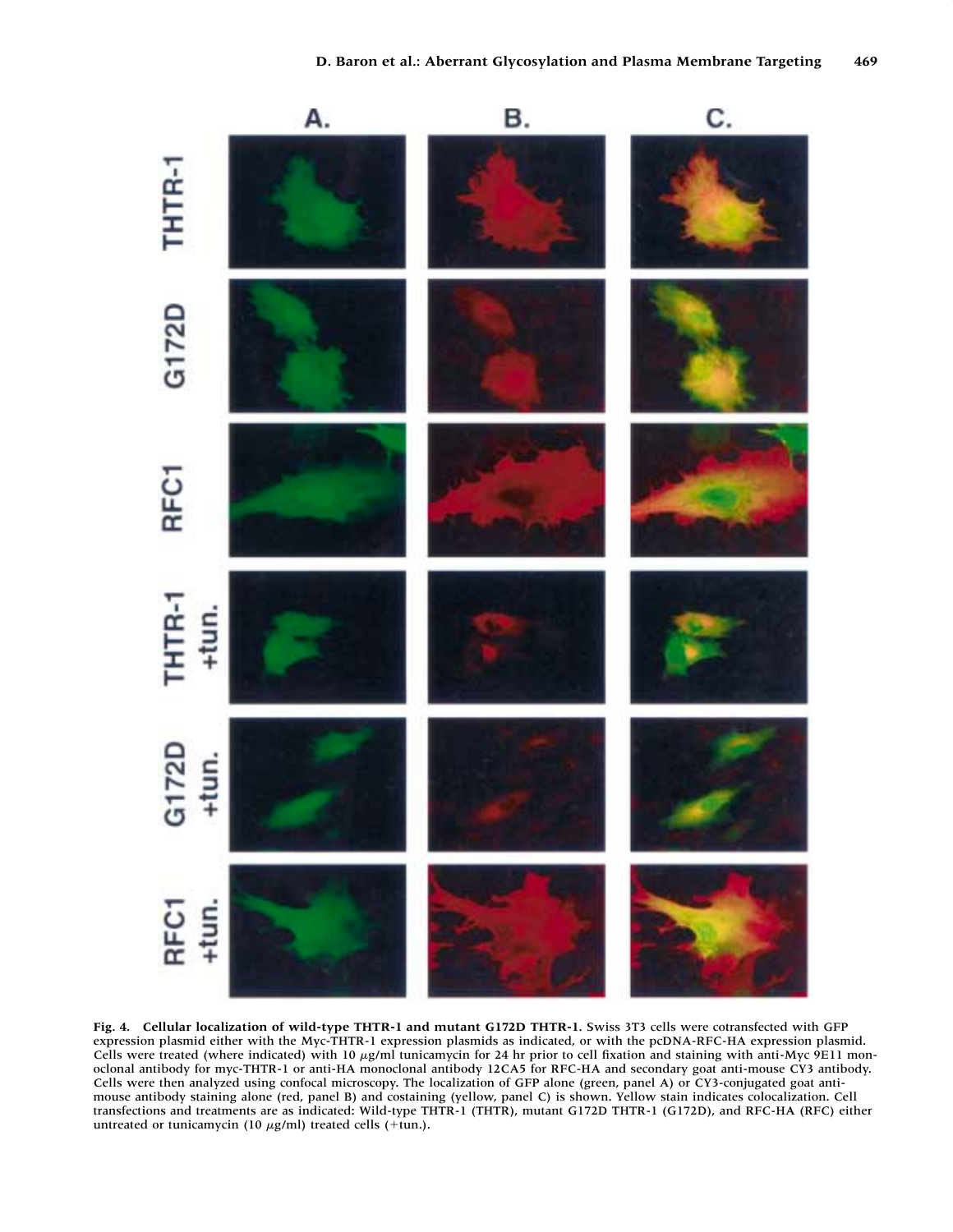

**Fig. 4. Cellular localization of wild-type THTR-1 and mutant G172D THTR-1.** Swiss 3T3 cells were cotransfected with GFP expression plasmid either with the Myc-THTR-1 expression plasmids as indicated, or with the pcDNA-RFC-HA expression plasmid. Cells were treated (where indicated) with 10 µg/ml tunicamycin for 24 hr prior to cell fixation and staining with anti-Myc 9E11 monoclonal antibody for myc-THTR-1 or anti-HA monoclonal antibody 12CA5 for RFC-HA and secondary goat anti-mouse CY3 antibody. Cells were then analyzed using confocal microscopy. The localization of GFP alone (green, panel A) or CY3-conjugated goat antimouse antibody staining alone (red, panel B) and costaining (yellow, panel C) is shown. Yellow stain indicates colocalization. Cell transfections and treatments are as indicated: Wild-type THTR-1 (THTR), mutant G172D THTR-1 (G172D), and RFC-HA (RFC) either untreated or tunicamycin (10  $\mu$ g/ml) treated cells (+tun.).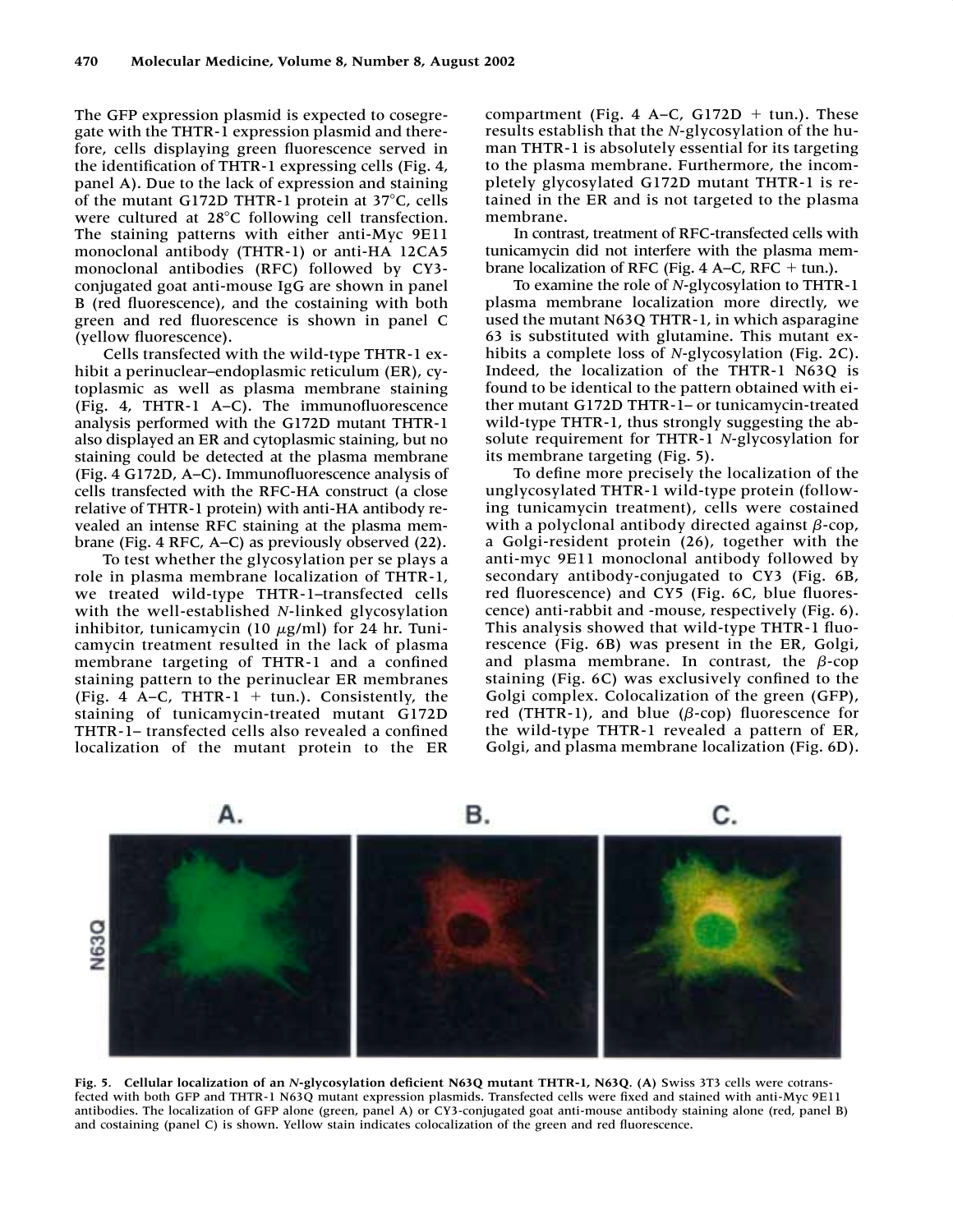The GFP expression plasmid is expected to cosegregate with the THTR-1 expression plasmid and therefore, cells displaying green fluorescence served in the identification of THTR-1 expressing cells (Fig. 4, panel A). Due to the lack of expression and staining of the mutant G172D THTR-1 protein at  $37^{\circ}$ C, cells were cultured at 28°C following cell transfection. The staining patterns with either anti-Myc 9E11 monoclonal antibody (THTR-1) or anti-HA 12CA5 monoclonal antibodies (RFC) followed by CY3 conjugated goat anti-mouse IgG are shown in panel B (red fluorescence), and the costaining with both green and red fluorescence is shown in panel C (yellow fluorescence).

Cells transfected with the wild-type THTR-1 exhibit a perinuclear–endoplasmic reticulum (ER), cytoplasmic as well as plasma membrane staining (Fig. 4, THTR-1 A–C). The immunofluorescence analysis performed with the G172D mutant THTR-1 also displayed an ER and cytoplasmic staining, but no staining could be detected at the plasma membrane (Fig. 4 G172D, A–C). Immunofluorescence analysis of cells transfected with the RFC-HA construct (a close relative of THTR-1 protein) with anti-HA antibody revealed an intense RFC staining at the plasma membrane (Fig. 4 RFC, A–C) as previously observed (22).

To test whether the glycosylation per se plays a role in plasma membrane localization of THTR-1, we treated wild-type THTR-1–transfected cells with the well-established *N*-linked glycosylation inhibitor, tunicamycin (10  $\mu$ g/ml) for 24 hr. Tunicamycin treatment resulted in the lack of plasma membrane targeting of THTR-1 and a confined staining pattern to the perinuclear ER membranes (Fig. 4 A-C, THTR- $1 + \text{tun.}$ ). Consistently, the staining of tunicamycin-treated mutant G172D THTR-1– transfected cells also revealed a confined localization of the mutant protein to the ER

compartment (Fig. 4 A–C, G172D  $+$  tun.). These results establish that the *N*-glycosylation of the human THTR-1 is absolutely essential for its targeting to the plasma membrane. Furthermore, the incompletely glycosylated G172D mutant THTR-1 is retained in the ER and is not targeted to the plasma membrane.

In contrast, treatment of RFC-transfected cells with tunicamycin did not interfere with the plasma membrane localization of RFC (Fig.  $4$  A–C, RFC  $+$  tun.).

To examine the role of *N*-glycosylation to THTR-1 plasma membrane localization more directly, we used the mutant N63Q THTR-1, in which asparagine 63 is substituted with glutamine. This mutant exhibits a complete loss of *N*-glycosylation (Fig. 2C). Indeed, the localization of the THTR-1 N63Q is found to be identical to the pattern obtained with either mutant G172D THTR-1– or tunicamycin-treated wild-type THTR-1, thus strongly suggesting the absolute requirement for THTR-1 *N*-glycosylation for its membrane targeting (Fig. 5).

To define more precisely the localization of the unglycosylated THTR-1 wild-type protein (following tunicamycin treatment), cells were costained with a polyclonal antibody directed against  $\beta$ -cop, a Golgi-resident protein (26), together with the anti-myc 9E11 monoclonal antibody followed by secondary antibody-conjugated to CY3 (Fig. 6B, red fluorescence) and CY5 (Fig. 6C, blue fluorescence) anti-rabbit and -mouse, respectively (Fig. 6). This analysis showed that wild-type THTR-1 fluorescence (Fig. 6B) was present in the ER, Golgi, and plasma membrane. In contrast, the  $\beta$ -cop staining (Fig. 6C) was exclusively confined to the Golgi complex. Colocalization of the green (GFP), red (THTR-1), and blue ( $\beta$ -cop) fluorescence for the wild-type THTR-1 revealed a pattern of ER, Golgi, and plasma membrane localization (Fig. 6D).



**Fig. 5. Cellular localization of an** *N***-glycosylation deficient N63Q mutant THTR-1, N63Q. (A)** Swiss 3T3 cells were cotransfected with both GFP and THTR-1 N63Q mutant expression plasmids. Transfected cells were fixed and stained with anti-Myc 9E11 antibodies. The localization of GFP alone (green, panel A) or CY3-conjugated goat anti-mouse antibody staining alone (red, panel B) and costaining (panel C) is shown. Yellow stain indicates colocalization of the green and red fluorescence.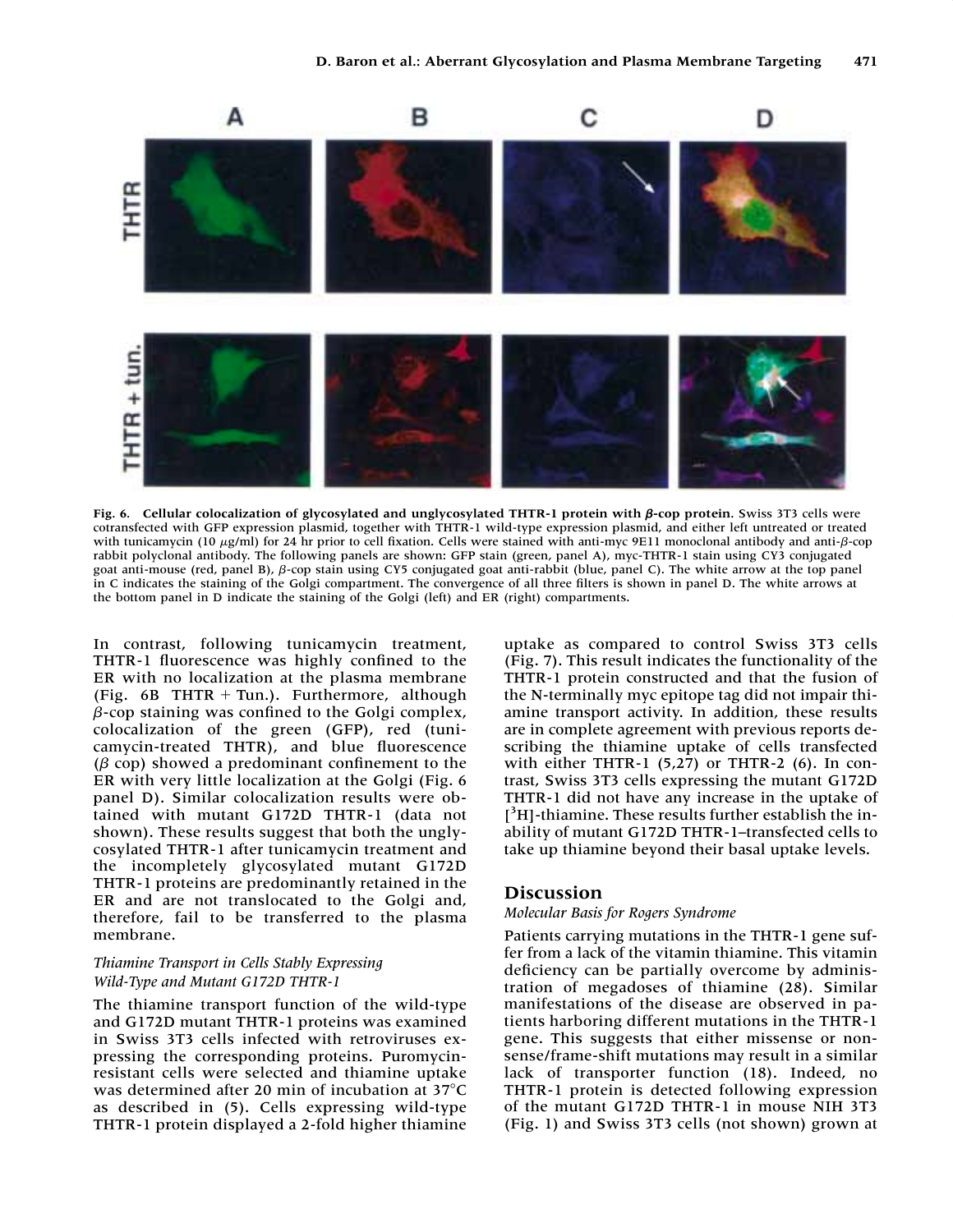

Fig. 6. Cellular colocalization of glycosylated and unglycosylated THTR-1 protein with  $\beta$ -cop protein. Swiss 3T3 cells were cotransfected with GFP expression plasmid, together with THTR-1 wild-type expression plasmid, and either left untreated or treated with tunicamycin (10  $\mu$ g/ml) for 24 hr prior to cell fixation. Cells were stained with anti-myc 9E11 monoclonal antibody and anti- $\beta$ -cop rabbit polyclonal antibody. The following panels are shown: GFP stain (green, panel A), myc-THTR-1 stain using CY3 conjugated goat anti-mouse (red, panel B),  $\beta$ -cop stain using CY5 conjugated goat anti-rabbit (blue, panel C). The white arrow at the top panel in C indicates the staining of the Golgi compartment. The convergence of all three filters is shown in panel D. The white arrows at the bottom panel in D indicate the staining of the Golgi (left) and ER (right) compartments.

In contrast, following tunicamycin treatment, THTR-1 fluorescence was highly confined to the ER with no localization at the plasma membrane (Fig.  $6B$  THTR + Tun.). Furthermore, although  $\beta$ -cop staining was confined to the Golgi complex, colocalization of the green (GFP), red (tunicamycin-treated THTR), and blue fluorescence  $(\beta$  cop) showed a predominant confinement to the ER with very little localization at the Golgi (Fig. 6 panel D). Similar colocalization results were obtained with mutant G172D THTR-1 (data not shown). These results suggest that both the unglycosylated THTR-1 after tunicamycin treatment and the incompletely glycosylated mutant G172D THTR-1 proteins are predominantly retained in the ER and are not translocated to the Golgi and, therefore, fail to be transferred to the plasma membrane.

## *Thiamine Transport in Cells Stably Expressing Wild-Type and Mutant G172D THTR-1*

The thiamine transport function of the wild-type and G172D mutant THTR-1 proteins was examined in Swiss 3T3 cells infected with retroviruses expressing the corresponding proteins. Puromycinresistant cells were selected and thiamine uptake was determined after 20 min of incubation at 37°C as described in (5). Cells expressing wild-type THTR-1 protein displayed a 2-fold higher thiamine

uptake as compared to control Swiss 3T3 cells (Fig. 7). This result indicates the functionality of the THTR-1 protein constructed and that the fusion of the N-terminally myc epitope tag did not impair thiamine transport activity. In addition, these results are in complete agreement with previous reports describing the thiamine uptake of cells transfected with either THTR-1 (5,27) or THTR-2 (6). In contrast, Swiss 3T3 cells expressing the mutant G172D THTR-1 did not have any increase in the uptake of [<sup>3</sup>H]-thiamine. These results further establish the inability of mutant G172D THTR-1–transfected cells to take up thiamine beyond their basal uptake levels.

# **Discussion**

#### *Molecular Basis for Rogers Syndrome*

Patients carrying mutations in the THTR-1 gene suffer from a lack of the vitamin thiamine. This vitamin deficiency can be partially overcome by administration of megadoses of thiamine (28). Similar manifestations of the disease are observed in patients harboring different mutations in the THTR-1 gene. This suggests that either missense or nonsense/frame-shift mutations may result in a similar lack of transporter function (18). Indeed, no THTR-1 protein is detected following expression of the mutant G172D THTR-1 in mouse NIH 3T3 (Fig. 1) and Swiss 3T3 cells (not shown) grown at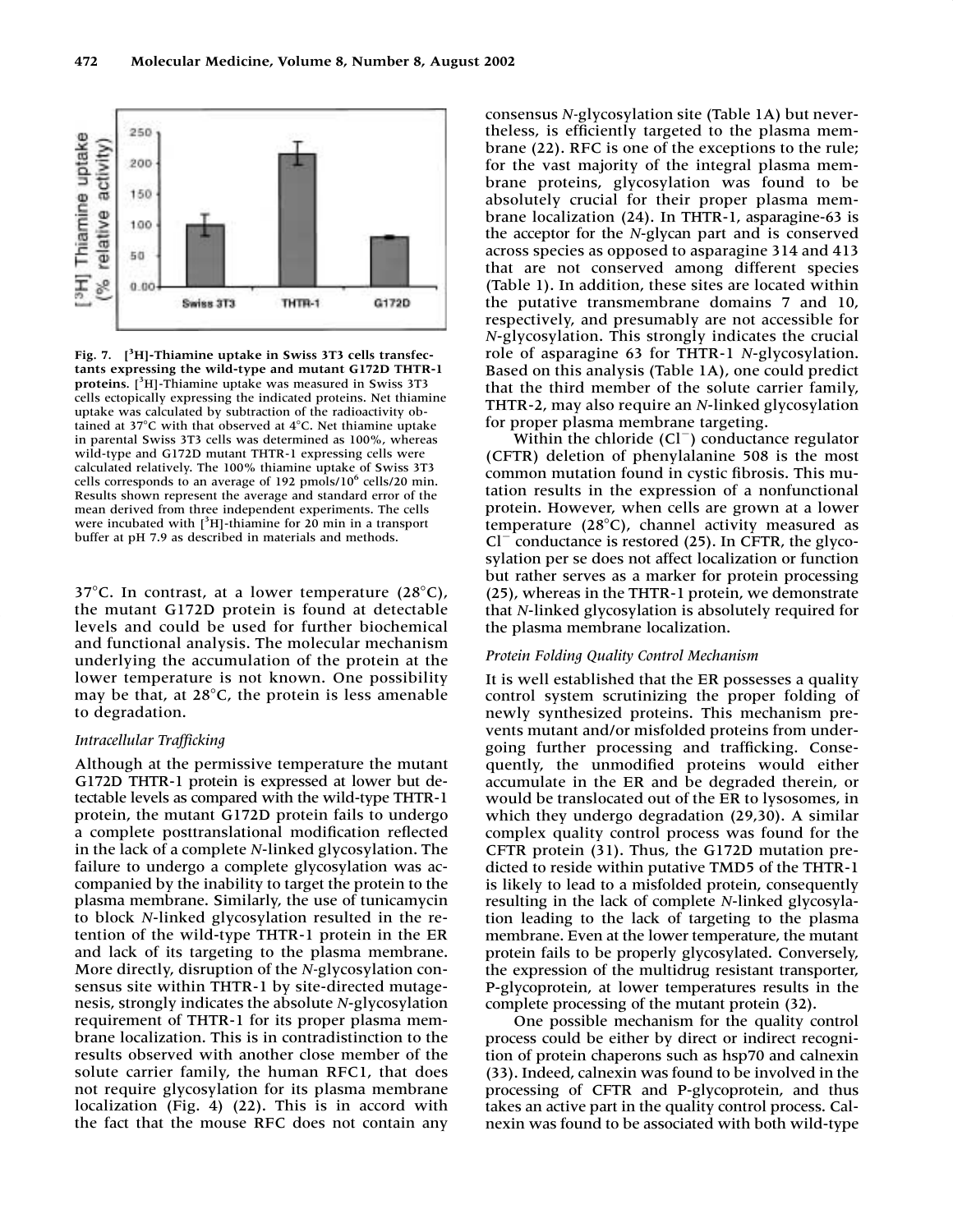

**Fig. 7. [3 H]-Thiamine uptake in Swiss 3T3 cells transfectants expressing the wild-type and mutant G172D THTR-1 proteins.** [ 3 H]-Thiamine uptake was measured in Swiss 3T3 cells ectopically expressing the indicated proteins. Net thiamine uptake was calculated by subtraction of the radioactivity obtained at 37 $\degree$ C with that observed at 4 $\degree$ C. Net thiamine uptake in parental Swiss 3T3 cells was determined as 100%, whereas wild-type and G172D mutant THTR-1 expressing cells were calculated relatively. The 100% thiamine uptake of Swiss 3T3 cells corresponds to an average of 192 pmols/10<sup>6</sup> cells/20 min. Results shown represent the average and standard error of the mean derived from three independent experiments. The cells were incubated with  $[3H]$ -thiamine for 20 min in a transport buffer at pH 7.9 as described in materials and methods.

37 $\degree$ C. In contrast, at a lower temperature (28 $\degree$ C), the mutant G172D protein is found at detectable levels and could be used for further biochemical and functional analysis. The molecular mechanism underlying the accumulation of the protein at the lower temperature is not known. One possibility may be that, at  $28^{\circ}$ C, the protein is less amenable to degradation.

#### *Intracellular Trafficking*

Although at the permissive temperature the mutant G172D THTR-1 protein is expressed at lower but detectable levels as compared with the wild-type THTR-1 protein, the mutant G172D protein fails to undergo a complete posttranslational modification reflected in the lack of a complete *N*-linked glycosylation. The failure to undergo a complete glycosylation was accompanied by the inability to target the protein to the plasma membrane. Similarly, the use of tunicamycin to block *N*-linked glycosylation resulted in the retention of the wild-type THTR-1 protein in the ER and lack of its targeting to the plasma membrane. More directly, disruption of the *N-*glycosylation consensus site within THTR-1 by site-directed mutagenesis, strongly indicates the absolute *N*-glycosylation requirement of THTR-1 for its proper plasma membrane localization. This is in contradistinction to the results observed with another close member of the solute carrier family, the human RFC1, that does not require glycosylation for its plasma membrane localization (Fig. 4) (22). This is in accord with the fact that the mouse RFC does not contain any

consensus *N-*glycosylation site (Table 1A) but nevertheless, is efficiently targeted to the plasma membrane (22). RFC is one of the exceptions to the rule; for the vast majority of the integral plasma membrane proteins, glycosylation was found to be absolutely crucial for their proper plasma membrane localization (24). In THTR-1, asparagine-63 is the acceptor for the *N*-glycan part and is conserved across species as opposed to asparagine 314 and 413 that are not conserved among different species (Table 1). In addition, these sites are located within the putative transmembrane domains 7 and 10, respectively, and presumably are not accessible for *N*-glycosylation. This strongly indicates the crucial role of asparagine 63 for THTR-1 *N*-glycosylation. Based on this analysis (Table 1A), one could predict that the third member of the solute carrier family, THTR-2, may also require an *N*-linked glycosylation for proper plasma membrane targeting.

Within the chloride  $(Cl^-)$  conductance regulator (CFTR) deletion of phenylalanine 508 is the most common mutation found in cystic fibrosis. This mutation results in the expression of a nonfunctional protein. However, when cells are grown at a lower temperature  $(28^{\circ}C)$ , channel activity measured as  $Cl^-$  conductance is restored (25). In CFTR, the glycosylation per se does not affect localization or function but rather serves as a marker for protein processing (25), whereas in the THTR-1 protein, we demonstrate that *N*-linked glycosylation is absolutely required for the plasma membrane localization.

#### *Protein Folding Quality Control Mechanism*

It is well established that the ER possesses a quality control system scrutinizing the proper folding of newly synthesized proteins. This mechanism prevents mutant and/or misfolded proteins from undergoing further processing and trafficking. Consequently, the unmodified proteins would either accumulate in the ER and be degraded therein, or would be translocated out of the ER to lysosomes, in which they undergo degradation (29,30). A similar complex quality control process was found for the CFTR protein (31). Thus, the G172D mutation predicted to reside within putative TMD5 of the THTR-1 is likely to lead to a misfolded protein, consequently resulting in the lack of complete *N*-linked glycosylation leading to the lack of targeting to the plasma membrane. Even at the lower temperature, the mutant protein fails to be properly glycosylated. Conversely, the expression of the multidrug resistant transporter, P-glycoprotein, at lower temperatures results in the complete processing of the mutant protein (32).

One possible mechanism for the quality control process could be either by direct or indirect recognition of protein chaperons such as hsp70 and calnexin (33). Indeed, calnexin was found to be involved in the processing of CFTR and P-glycoprotein, and thus takes an active part in the quality control process. Calnexin was found to be associated with both wild-type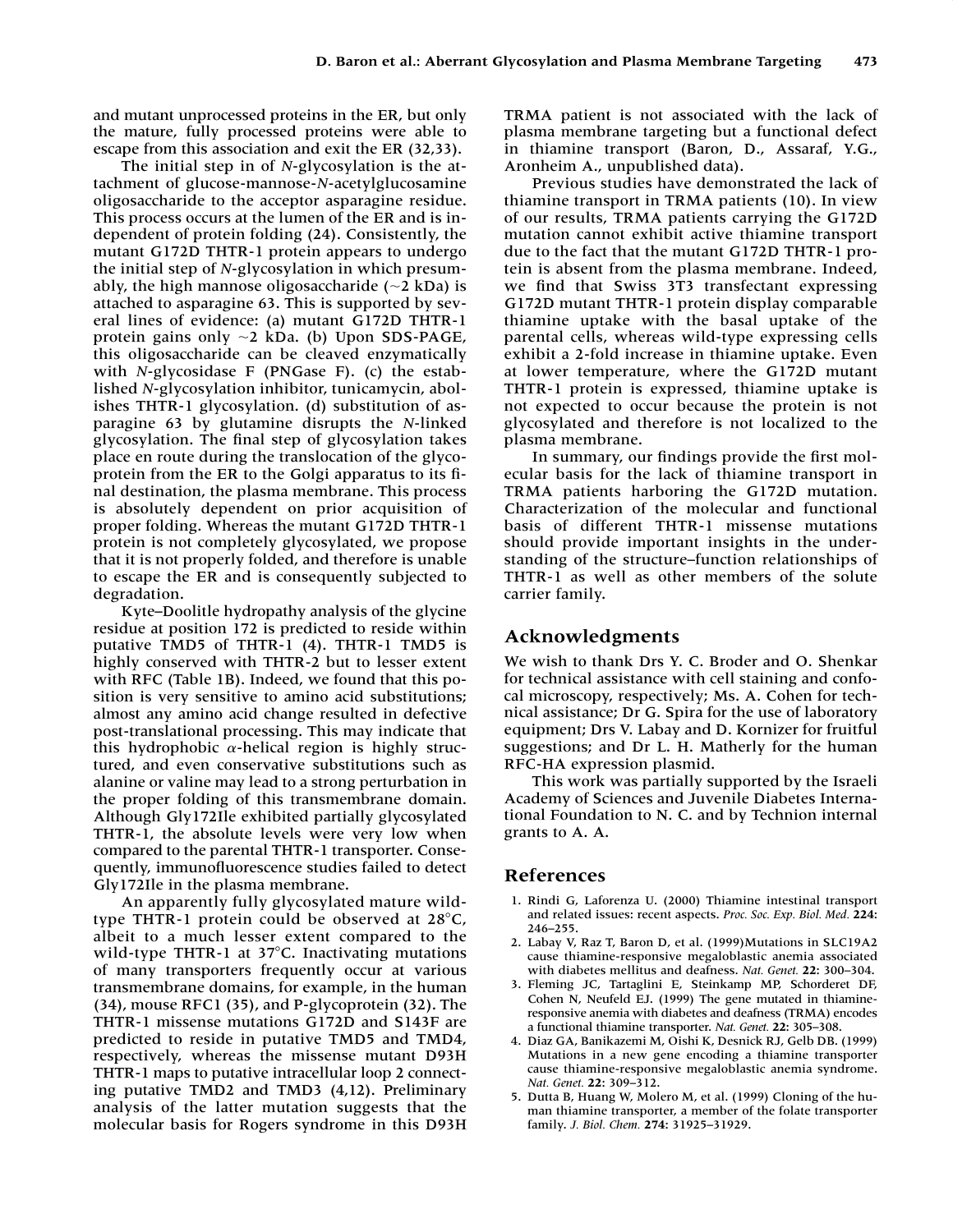and mutant unprocessed proteins in the ER, but only the mature, fully processed proteins were able to escape from this association and exit the ER (32,33).

The initial step in of *N*-glycosylation is the attachment of glucose-mannose-*N*-acetylglucosamine oligosaccharide to the acceptor asparagine residue. This process occurs at the lumen of the ER and is independent of protein folding (24). Consistently, the mutant G172D THTR-1 protein appears to undergo the initial step of *N*-glycosylation in which presumably, the high mannose oligosaccharide ( $\sim$ 2 kDa) is attached to asparagine 63. This is supported by several lines of evidence: (a) mutant G172D THTR-1 protein gains only  $\sim$ 2 kDa. (b) Upon SDS-PAGE, this oligosaccharide can be cleaved enzymatically with *N*-glycosidase F (PNGase F). (c) the established *N*-glycosylation inhibitor, tunicamycin, abolishes THTR-1 glycosylation. (d) substitution of asparagine 63 by glutamine disrupts the *N*-linked glycosylation. The final step of glycosylation takes place en route during the translocation of the glycoprotein from the ER to the Golgi apparatus to its final destination, the plasma membrane. This process is absolutely dependent on prior acquisition of proper folding. Whereas the mutant G172D THTR-1 protein is not completely glycosylated, we propose that it is not properly folded, and therefore is unable to escape the ER and is consequently subjected to degradation.

Kyte–Doolitle hydropathy analysis of the glycine residue at position 172 is predicted to reside within putative TMD5 of THTR-1 (4). THTR-1 TMD5 is highly conserved with THTR-2 but to lesser extent with RFC (Table 1B). Indeed, we found that this position is very sensitive to amino acid substitutions; almost any amino acid change resulted in defective post-translational processing. This may indicate that this hydrophobic  $\alpha$ -helical region is highly structured, and even conservative substitutions such as alanine or valine may lead to a strong perturbation in the proper folding of this transmembrane domain. Although Gly172Ile exhibited partially glycosylated THTR-1, the absolute levels were very low when compared to the parental THTR-1 transporter. Consequently, immunofluorescence studies failed to detect Gly172Ile in the plasma membrane.

An apparently fully glycosylated mature wildtype THTR-1 protein could be observed at  $28^{\circ}$ C, albeit to a much lesser extent compared to the wild-type THTR-1 at  $37^{\circ}$ C. Inactivating mutations of many transporters frequently occur at various transmembrane domains, for example, in the human (34), mouse RFC1 (35), and P-glycoprotein (32). The THTR-1 missense mutations G172D and S143F are predicted to reside in putative TMD5 and TMD4, respectively, whereas the missense mutant D93H THTR-1 maps to putative intracellular loop 2 connecting putative TMD2 and TMD3 (4,12). Preliminary analysis of the latter mutation suggests that the molecular basis for Rogers syndrome in this D93H TRMA patient is not associated with the lack of plasma membrane targeting but a functional defect in thiamine transport (Baron, D., Assaraf, Y.G., Aronheim A., unpublished data).

Previous studies have demonstrated the lack of thiamine transport in TRMA patients (10). In view of our results, TRMA patients carrying the G172D mutation cannot exhibit active thiamine transport due to the fact that the mutant G172D THTR-1 protein is absent from the plasma membrane. Indeed, we find that Swiss 3T3 transfectant expressing G172D mutant THTR-1 protein display comparable thiamine uptake with the basal uptake of the parental cells, whereas wild-type expressing cells exhibit a 2-fold increase in thiamine uptake. Even at lower temperature, where the G172D mutant THTR-1 protein is expressed, thiamine uptake is not expected to occur because the protein is not glycosylated and therefore is not localized to the plasma membrane.

In summary, our findings provide the first molecular basis for the lack of thiamine transport in TRMA patients harboring the G172D mutation. Characterization of the molecular and functional basis of different THTR-1 missense mutations should provide important insights in the understanding of the structure–function relationships of THTR-1 as well as other members of the solute carrier family.

# **Acknowledgments**

We wish to thank Drs Y. C. Broder and O. Shenkar for technical assistance with cell staining and confocal microscopy, respectively; Ms. A. Cohen for technical assistance; Dr G. Spira for the use of laboratory equipment; Drs V. Labay and D. Kornizer for fruitful suggestions; and Dr L. H. Matherly for the human RFC-HA expression plasmid.

This work was partially supported by the Israeli Academy of Sciences and Juvenile Diabetes International Foundation to N. C. and by Technion internal grants to A. A.

# **References**

- 1. Rindi G, Laforenza U. (2000) Thiamine intestinal transport and related issues: recent aspects. *Proc. Soc. Exp. Biol. Med.* **224:** 246–255.
- 2. Labay V, Raz T, Baron D, et al. (1999)Mutations in SLC19A2 cause thiamine-responsive megaloblastic anemia associated with diabetes mellitus and deafness. *Nat. Genet.* **22:** 300–304.
- 3. Fleming JC, Tartaglini E, Steinkamp MP, Schorderet DF, Cohen N, Neufeld EJ. (1999) The gene mutated in thiamineresponsive anemia with diabetes and deafness (TRMA) encodes a functional thiamine transporter. *Nat. Genet.* **22:** 305–308.
- 4. Diaz GA, Banikazemi M, Oishi K, Desnick RJ, Gelb DB. (1999) Mutations in a new gene encoding a thiamine transporter cause thiamine-responsive megaloblastic anemia syndrome. *Nat. Genet.* **22:** 309–312.
- 5. Dutta B, Huang W, Molero M, et al. (1999) Cloning of the human thiamine transporter, a member of the folate transporter family. *J. Biol. Chem.* **274:** 31925–31929.